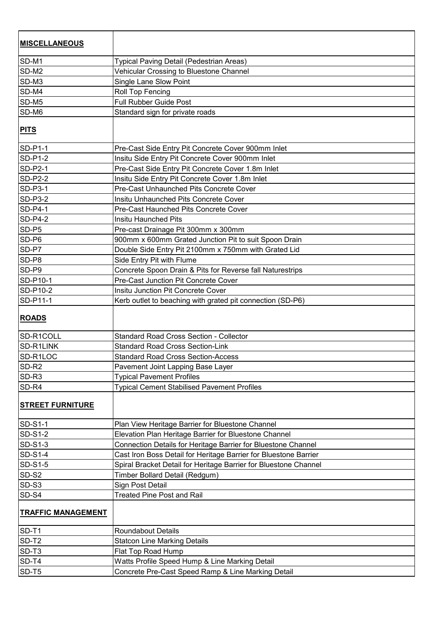| <b>MISCELLANEOUS</b>      |                                                                  |
|---------------------------|------------------------------------------------------------------|
| SD-M1                     | Typical Paving Detail (Pedestrian Areas)                         |
| SD-M2                     | Vehicular Crossing to Bluestone Channel                          |
| SD-M3                     | Single Lane Slow Point                                           |
| SD-M4                     | Roll Top Fencing                                                 |
| SD-M5                     | Full Rubber Guide Post                                           |
| SD-M6                     | Standard sign for private roads                                  |
| <b>PITS</b>               |                                                                  |
| <b>SD-P1-1</b>            | Pre-Cast Side Entry Pit Concrete Cover 900mm Inlet               |
| <b>SD-P1-2</b>            | Insitu Side Entry Pit Concrete Cover 900mm Inlet                 |
| <b>SD-P2-1</b>            | Pre-Cast Side Entry Pit Concrete Cover 1.8m Inlet                |
| <b>SD-P2-2</b>            | Insitu Side Entry Pit Concrete Cover 1.8m Inlet                  |
| <b>SD-P3-1</b>            | Pre-Cast Unhaunched Pits Concrete Cover                          |
| <b>SD-P3-2</b>            | Insitu Unhaunched Pits Concrete Cover                            |
| <b>SD-P4-1</b>            | Pre-Cast Haunched Pits Concrete Cover                            |
| SD-P4-2                   | <b>Insitu Haunched Pits</b>                                      |
| SD-P5                     | Pre-cast Drainage Pit 300mm x 300mm                              |
| SD-P6                     | 900mm x 600mm Grated Junction Pit to suit Spoon Drain            |
| SD-P7                     | Double Side Entry Pit 2100mm x 750mm with Grated Lid             |
| SD-P8                     | Side Entry Pit with Flume                                        |
| SD-P9                     | Concrete Spoon Drain & Pits for Reverse fall Naturestrips        |
| SD-P10-1                  | Pre-Cast Junction Pit Concrete Cover                             |
| SD-P10-2                  | Insitu Junction Pit Concrete Cover                               |
| SD-P11-1                  | Kerb outlet to beaching with grated pit connection (SD-P6)       |
| <b>ROADS</b>              |                                                                  |
| SD-R1COLL                 | <b>Standard Road Cross Section - Collector</b>                   |
| SD-R1LINK                 | <b>Standard Road Cross Section-Link</b>                          |
| SD-R1LOC                  | <b>Standard Road Cross Section-Access</b>                        |
| SD-R <sub>2</sub>         | Pavement Joint Lapping Base Layer                                |
| SD-R <sub>3</sub>         | <b>Typical Pavement Profiles</b>                                 |
| SD-R4                     | <b>Typical Cement Stabilised Pavement Profiles</b>               |
| <u> STREET FURNITURE</u>  |                                                                  |
| <b>SD-S1-1</b>            | Plan View Heritage Barrier for Bluestone Channel                 |
| <b>SD-S1-2</b>            | Elevation Plan Heritage Barrier for Bluestone Channel            |
| <b>SD-S1-3</b>            | Connection Details for Heritage Barrier for Bluestone Channel    |
| <b>SD-S1-4</b>            | Cast Iron Boss Detail for Heritage Barrier for Bluestone Barrier |
| <b>SD-S1-5</b>            | Spiral Bracket Detail for Heritage Barrier for Bluestone Channel |
| SD-S2                     | Timber Bollard Detail (Redgum)                                   |
| SD-S3                     | Sign Post Detail                                                 |
| SD-S4                     | <b>Treated Pine Post and Rail</b>                                |
| <b>TRAFFIC MANAGEMENT</b> |                                                                  |
| SD-T1                     | <b>Roundabout Details</b>                                        |
| SD-T <sub>2</sub>         | <b>Statcon Line Marking Details</b>                              |
| SD-T <sub>3</sub>         | Flat Top Road Hump                                               |
| SD-T4                     | Watts Profile Speed Hump & Line Marking Detail                   |
| SD-T5                     | Concrete Pre-Cast Speed Ramp & Line Marking Detail               |